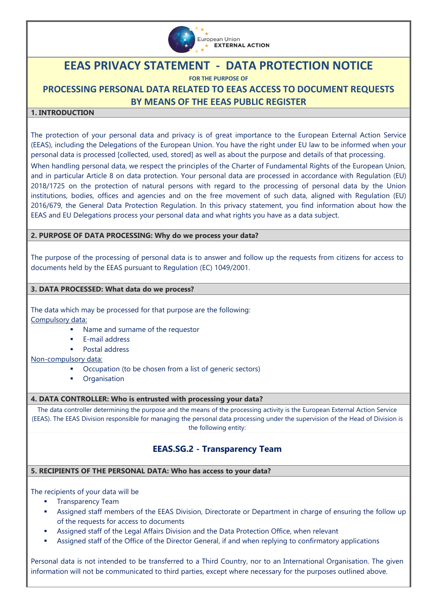

# **EEAS PRIVACY STATEMENT - DATA PROTECTION NOTICE**

**FOR THE PURPOSE OF**

**PROCESSING PERSONAL DATA RELATED TO EEAS ACCESS TO DOCUMENT REQUESTS BY MEANS OF THE EEAS PUBLIC REGISTER**

## **1. INTRODUCTION**

The protection of your personal data and privacy is of great importance to the European External Action Service (EEAS), including the Delegations of the European Union. You have the right under EU law to be informed when your personal data is processed [collected, used, stored] as well as about the purpose and details of that processing. When handling personal data, we respect the principles of the Charter of Fundamental Rights of the European Union, and in particular Article 8 on data protection. Your personal data are processed in accordance with [Regulation \(EU\)](https://eur-lex.europa.eu/legal-content/EN/TXT/?uri=CELEX%3A32018R1725)  [2018/1725 on the protection of natural persons with regard to the processing of personal data by the Union](https://eur-lex.europa.eu/legal-content/EN/TXT/?uri=CELEX%3A32018R1725)  [institutions, bodies, offices and agencies and on the free movement of such data,](https://eur-lex.europa.eu/legal-content/EN/TXT/?uri=CELEX%3A32018R1725) aligned with Regulation (EU) 2016/679, the General Data Protection Regulation. In this privacy statement, you find information about how the EEAS and EU Delegations process your personal data and what rights you have as a data subject.

## **2. PURPOSE OF DATA PROCESSING: Why do we process your data?**

The purpose of the processing of personal data is to answer and follow up the requests from citizens for access to documents held by the EEAS pursuant to Regulation (EC) 1049/2001.

#### **3. DATA PROCESSED: What data do we process?**

The data which may be processed for that purpose are the following: Compulsory data:

- **Name and surname of the requestor**
- $E$ -mail address
- **Postal address**

Non-compulsory data:

- Occupation (to be chosen from a list of generic sectors)
- **•** Organisation

#### **4. DATA CONTROLLER: Who is entrusted with processing your data?**

The data controller determining the purpose and the means of the processing activity is the European External Action Service (EEAS). The EEAS Division responsible for managing the personal data processing under the supervision of the Head of Division is the following entity:

# **EEAS.SG.2 - Transparency Team**

#### **5. RECIPIENTS OF THE PERSONAL DATA: Who has access to your data?**

The recipients of your data will be

- **Transparency Team**
- Assigned staff members of the EEAS Division, Directorate or Department in charge of ensuring the follow up of the requests for access to documents
- Assigned staff of the Legal Affairs Division and the Data Protection Office, when relevant
- Assigned staff of the Office of the Director General, if and when replying to confirmatory applications

Personal data is not intended to be transferred to a Third Country, nor to an International Organisation. The given information will not be communicated to third parties, except where necessary for the purposes outlined above.